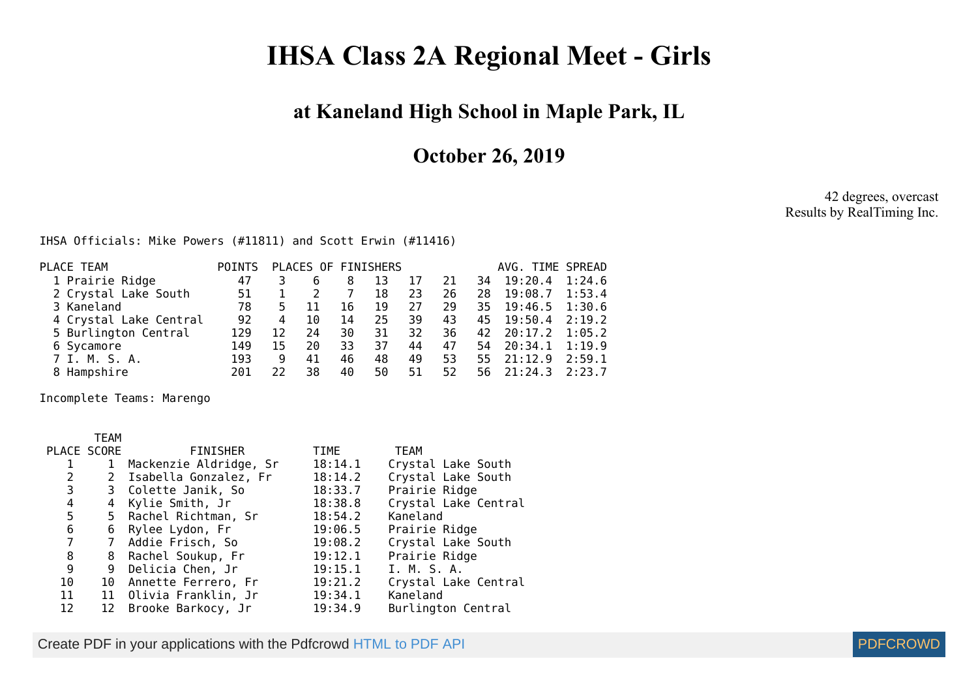## **IHSA Class 2A Regional Meet - Girls**

## **at Kaneland High School in Maple Park, IL**

**October 26, 2019**

42 degrees, overcast Results by RealTiming Inc.

## IHSA Officials: Mike Powers (#11811) and Scott Erwin (#11416)

| PLACE TEAM             | <b>POINTS</b> |    |    |    | PLACES OF FINISHERS |     |     |     | AVG. TIME SPREAD  |        |
|------------------------|---------------|----|----|----|---------------------|-----|-----|-----|-------------------|--------|
|                        |               |    |    |    |                     |     |     |     |                   |        |
| 1 Prairie Ridge        | 47            |    | 6  | 8  | 13                  | 17  | 21  | 34  | 19:20.4           | 1:24.6 |
| 2 Crystal Lake South   | 51            |    |    |    | 18                  | 23  | 26  | 28  | 19:08.7           | 1:53.4 |
| 3 Kaneland             | 78            | 5. | 11 | 16 | 19                  | 27  | 29  |     | 35 19:46.5 1:30.6 |        |
| 4 Crystal Lake Central | 92            | 4  | 10 | 14 | 25                  | 39  | 43  | 45  | $19:50.4$ 2:19.2  |        |
| 5 Burlington Central   | 129           | 12 | 24 | 30 | 31                  | 32. | 36. | 42  | 20:17.2           | 1:05.2 |
| 6 Sycamore             | 149           | 15 | 20 | 33 | 37                  | 44  | 47  |     | 54 20:34.1 1:19.9 |        |
| 7 I. M. S. A.          | 193           | 9  | 41 | 46 | 48                  | 49  | 53  | 55. | 21:12.9           | 2:59.1 |
| 8 Hampshire            | 201           | 22 | 38 | 40 | 50                  | 51  | 52  |     | 56 21:24.3        | 2:23.7 |
|                        |               |    |    |    |                     |     |     |     |                   |        |

Incomplete Teams: Marengo

## TEAM

| PLACE SCORE |              | FINISHER                | TIME    | <b>TEAM</b>          |
|-------------|--------------|-------------------------|---------|----------------------|
| 1           | $\mathbf{1}$ | Mackenzie Aldridge, Sr  | 18:14.1 | Crystal Lake South   |
| 2           |              | 2 Isabella Gonzalez, Fr | 18:14.2 | Crystal Lake South   |
| 3           |              | 3 Colette Janik, So     | 18:33.7 | Prairie Ridge        |
| 4           |              | 4 Kylie Smith, Jr       | 18:38.8 | Crystal Lake Central |
| 5           |              | 5 Rachel Richtman, Sr   | 18:54.2 | Kaneland             |
| 6           |              | 6 Rylee Lydon, Fr       | 19:06.5 | Prairie Ridge        |
| 7           |              | 7 Addie Frisch, So      | 19:08.2 | Crystal Lake South   |
| 8           |              | 8 Rachel Soukup, Fr     | 19:12.1 | Prairie Ridge        |
| 9           |              | 9 Delicia Chen, Jr      | 19:15.1 | I. M. S. A.          |
| 10          |              | 10 Annette Ferrero, Fr  | 19:21.2 | Crystal Lake Central |
| 11          |              | 11 Olivia Franklin, Jr  | 19:34.1 | Kaneland             |
| 12          |              | 12 Brooke Barkocy, Jr   | 19:34.9 | Burlington Central   |

Create PDF in your applications with the Pdfcrowd [HTML to PDF API](https://pdfcrowd.com/doc/api/?ref=pdf) [PDFCROWD](https://pdfcrowd.com/?ref=pdf) Create PDF in your applications with the Pdfcrowd HTML to PDF API

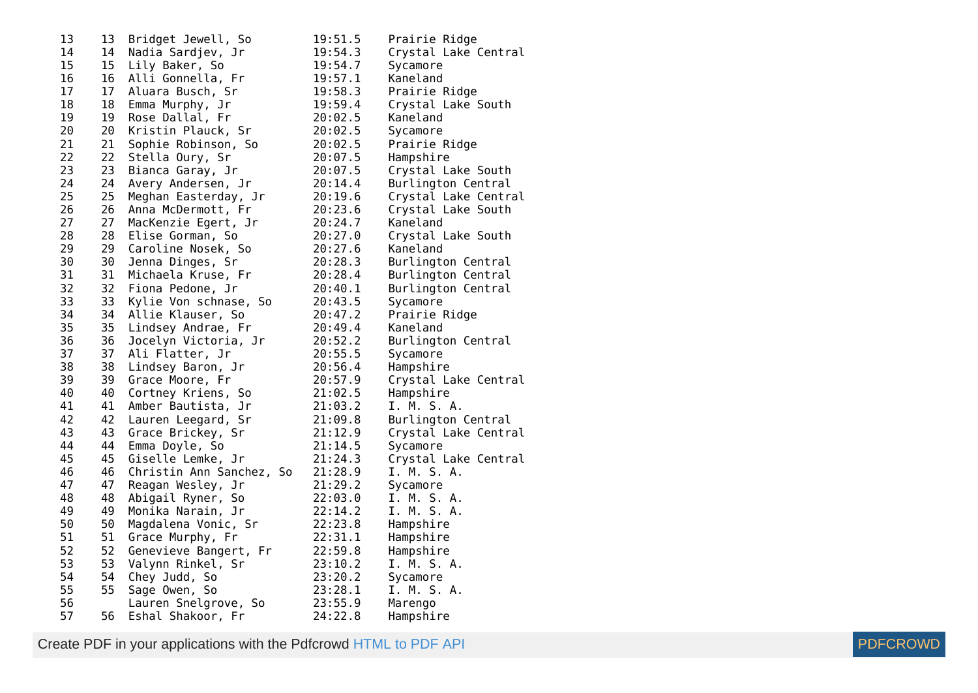| 13 | 13              | Bridget Jewell, So       | 19:51.5 | Prairie Ridge        |
|----|-----------------|--------------------------|---------|----------------------|
| 14 | 14              | Nadia Sardjev, Jr        | 19:54.3 | Crystal Lake Central |
| 15 | 15 <sub>1</sub> | Lily Baker, So           | 19:54.7 | Sycamore             |
| 16 | 16              | Alli Gonnella, Fr        | 19:57.1 | Kaneland             |
| 17 | 17              | Aluara Busch, Sr         | 19:58.3 | Prairie Ridge        |
| 18 | 18              | Emma Murphy, Jr          | 19:59.4 | Crystal Lake South   |
| 19 | 19              | Rose Dallal, Fr          | 20:02.5 | Kaneland             |
| 20 | 20              | Kristin Plauck, Sr       | 20:02.5 | Sycamore             |
| 21 | 21              | Sophie Robinson, So      | 20:02.5 | Prairie Ridge        |
| 22 | 22              | Stella Oury, Sr          | 20:07.5 | Hampshire            |
| 23 | 23              | Bianca Garay, Jr         | 20:07.5 | Crystal Lake South   |
| 24 | 24              | Avery Andersen, Jr       | 20:14.4 | Burlington Central   |
| 25 | 25              | Meghan Easterday, Jr     | 20:19.6 | Crystal Lake Central |
| 26 | 26              | Anna McDermott, Fr       | 20:23.6 | Crystal Lake South   |
| 27 | 27              | MacKenzie Egert, Jr      | 20:24.7 | Kaneland             |
| 28 | 28              | Elise Gorman, So         | 20:27.0 | Crystal Lake South   |
| 29 | 29              | Caroline Nosek, So       | 20:27.6 | Kaneland             |
| 30 | 30              | Jenna Dinges, Sr         | 20:28.3 | Burlington Central   |
| 31 | 31              | Michaela Kruse, Fr       | 20:28.4 | Burlington Central   |
| 32 | 32              | Fiona Pedone, Jr         | 20:40.1 | Burlington Central   |
| 33 | 33              | Kylie Von schnase, So    | 20:43.5 | Sycamore             |
| 34 | 34              | Allie Klauser, So        | 20:47.2 | Prairie Ridge        |
| 35 | 35              | Lindsey Andrae, Fr       | 20:49.4 | Kaneland             |
| 36 | 36              | Jocelyn Victoria, Jr     | 20:52.2 | Burlington Central   |
| 37 | 37              | Ali Flatter, Jr          | 20:55.5 | Sycamore             |
| 38 | 38              | Lindsey Baron, Jr        | 20:56.4 | Hampshire            |
| 39 | 39              | Grace Moore, Fr          | 20:57.9 | Crystal Lake Central |
| 40 | 40              | Cortney Kriens, So       | 21:02.5 | Hampshire            |
| 41 | 41              | Amber Bautista, Jr       | 21:03.2 | I. M. S. A.          |
| 42 | 42              | Lauren Leegard, Sr       | 21:09.8 | Burlington Central   |
| 43 | 43              | Grace Brickey, Sr        | 21:12.9 | Crystal Lake Central |
| 44 | 44              | Emma Doyle, So           | 21:14.5 | Sycamore             |
| 45 | 45              | Giselle Lemke, Jr        | 21:24.3 | Crystal Lake Central |
| 46 | 46              | Christin Ann Sanchez, So | 21:28.9 | I. M. S. A.          |
| 47 | 47              | Reagan Wesley, Jr        | 21:29.2 | Sycamore             |
| 48 | 48              | Abigail Ryner, So        | 22:03.0 | I. M. S. A.          |
| 49 | 49              | Monika Narain, Jr        | 22:14.2 | I. M. S. A.          |
| 50 | 50              | Magdalena Vonic, Sr      | 22:23.8 | Hampshire            |
| 51 | 51              | Grace Murphy, Fr         | 22:31.1 | Hampshire            |
| 52 | 52              | Genevieve Bangert, Fr    | 22:59.8 | Hampshire            |
| 53 | 53              | Valynn Rinkel, Sr        | 23:10.2 | I. M. S. A.          |
| 54 | 54              | Chey Judd, So            | 23:20.2 | Sycamore             |
| 55 | 55              | Sage Owen, So            | 23:28.1 | I. M. S. A.          |
| 56 |                 | Lauren Snelgrove, So     | 23:55.9 | Marengo              |
| 57 | 56              | Eshal Shakoor, Fr        | 24:22.8 | Hampshire            |